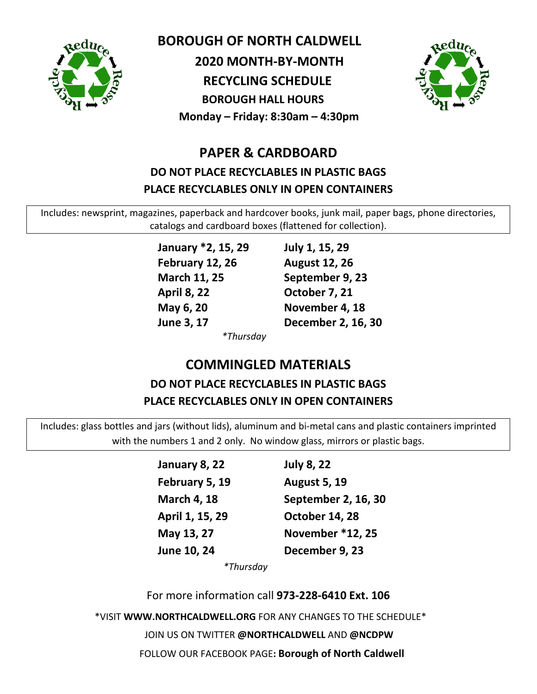

 **BOROUGH OF NORTH CALDWELL**

 **2020 MONTH-BY-MONTH**

 **RECYCLING SCHEDULE BOROUGH HALL HOURS**

**Monday – Friday: 8:30am – 4:30pm**

### **PAPER & CARDBOARD DO NOT PLACE RECYCLABLES IN PLASTIC BAGS PLACE RECYCLABLES ONLY IN OPEN CONTAINERS**

Includes: newsprint, magazines, paperback and hardcover books, junk mail, paper bags, phone directories, catalogs and cardboard boxes (flattened for collection).

> **January \*2, 15, 29 July 1, 15, 29 February 12, 26 August 12, 26 March 11, 25 September 9, 23 April 8, 22 October 7, 21 May 6, 20 November 4, 18**

**June 3, 17 December 2, 16, 30**

*\*Thursday*

# **COMMINGLED MATERIALS DO NOT PLACE RECYCLABLES IN PLASTIC BAGS PLACE RECYCLABLES ONLY IN OPEN CONTAINERS**

Includes: glass bottles and jars (without lids), aluminum and bi-metal cans and plastic containers imprinted with the numbers 1 and 2 only. No window glass, mirrors or plastic bags.

| January 8, 22      | <b>July 8, 22</b>   |
|--------------------|---------------------|
|                    |                     |
| February 5, 19     | <b>August 5, 19</b> |
| <b>March 4, 18</b> | September 2, 16, 30 |
| April 1, 15, 29    | October 14, 28      |
| May 13, 27         | November *12, 25    |
| June 10, 24        | December 9, 23      |

*\*Thursday*

For more information call **973-228-6410 Ext. 106**

\*VISIT **WWW.NORTHCALDWELL.ORG** FOR ANY CHANGES TO THE SCHEDULE\*

JOIN US ON TWITTER **@NORTHCALDWELL** AND **@NCDPW**

FOLLOW OUR FACEBOOK PAGE**: Borough of North Caldwell**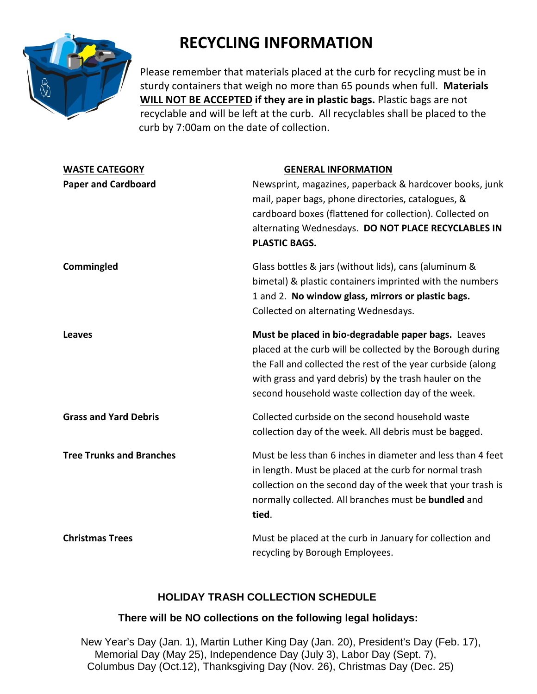

# **RECYCLING INFORMATION**

Please remember that materials placed at the curb for recycling must be in sturdy containers that weigh no more than 65 pounds when full. **Materials WILL NOT BE ACCEPTED if they are in plastic bags.** Plastic bags are not recyclable and will be left at the curb. All recyclables shall be placed to the curb by 7:00am on the date of collection.

| <b>WASTE CATEGORY</b>           | <b>GENERAL INFORMATION</b>                                                                                                                                                                                                                                                                       |
|---------------------------------|--------------------------------------------------------------------------------------------------------------------------------------------------------------------------------------------------------------------------------------------------------------------------------------------------|
| <b>Paper and Cardboard</b>      | Newsprint, magazines, paperback & hardcover books, junk<br>mail, paper bags, phone directories, catalogues, &<br>cardboard boxes (flattened for collection). Collected on<br>alternating Wednesdays. DO NOT PLACE RECYCLABLES IN<br><b>PLASTIC BAGS.</b>                                         |
| Commingled                      | Glass bottles & jars (without lids), cans (aluminum &<br>bimetal) & plastic containers imprinted with the numbers<br>1 and 2. No window glass, mirrors or plastic bags.<br>Collected on alternating Wednesdays.                                                                                  |
| <b>Leaves</b>                   | Must be placed in bio-degradable paper bags. Leaves<br>placed at the curb will be collected by the Borough during<br>the Fall and collected the rest of the year curbside (along<br>with grass and yard debris) by the trash hauler on the<br>second household waste collection day of the week. |
| <b>Grass and Yard Debris</b>    | Collected curbside on the second household waste<br>collection day of the week. All debris must be bagged.                                                                                                                                                                                       |
| <b>Tree Trunks and Branches</b> | Must be less than 6 inches in diameter and less than 4 feet<br>in length. Must be placed at the curb for normal trash<br>collection on the second day of the week that your trash is<br>normally collected. All branches must be bundled and<br>tied.                                            |
| <b>Christmas Trees</b>          | Must be placed at the curb in January for collection and<br>recycling by Borough Employees.                                                                                                                                                                                                      |

### **HOLIDAY TRASH COLLECTION SCHEDULE**

#### **There will be NO collections on the following legal holidays:**

 New Year's Day (Jan. 1), Martin Luther King Day (Jan. 20), President's Day (Feb. 17), Memorial Day (May 25), Independence Day (July 3), Labor Day (Sept. 7), Columbus Day (Oct.12), Thanksgiving Day (Nov. 26), Christmas Day (Dec. 25)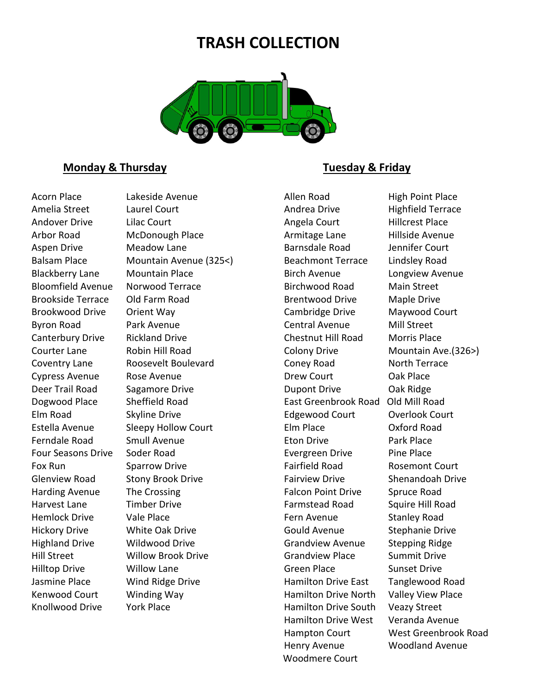## **TRASH COLLECTION**



#### **Monday & Thursday Community Community Community Community Community Community Community Community Community Community Community Community Community Community Community Community Community Community Community Community Com**

Acorn Place Lakeside Avenue **Allen Road** High Point Place Amelia Street Laurel Court Court Andrea Drive Highfield Terrace Andover Drive Lilac Court Court Angela Court And Hillcrest Place Arbor Road McDonough Place **Armitage Lane** Hillside Avenue Aspen Drive **Meadow Lane Barnsdale Road** Jennifer Court Balsam Place Mountain Avenue (325<) Beachmont Terrace Lindsley Road Blackberry Lane Mountain Place Birch Avenue Longview Avenue Bloomfield Avenue Norwood Terrace and Birchwood Road Main Street Brookside Terrace CDI Farm Road Brentwood Drive Maple Drive Brookwood Drive Orient Way Cambridge Drive Maywood Court Byron Road Park Avenue Central Avenue Mill Street Canterbury Drive Rickland Drive Chestnut Hill Road Morris Place Courter Lane Robin Hill Road Colony Drive Mountain Ave.(326>) Coventry Lane Roosevelt Boulevard Coney Road North Terrace Cypress Avenue Rose Avenue **Drew Court** Cypress Avenue **Drew Court** Oak Place Deer Trail Road Sagamore Drive **Dupont Drive** Dupont Drive Oak Ridge Dogwood Place Sheffield Road East Greenbrook Road Old Mill Road Elm Road Skyline Drive Edgewood Court Overlook Court Estella Avenue Sleepy Hollow Court Elm Place Oxford Road Ferndale Road Smull Avenue **Eton Drive Eton Drive** Park Place Four Seasons Drive Soder Road **Exergreen Drive** Pine Place Fox Run Sparrow Drive **Fairfield Road** Rosemont Court Glenview Road Stony Brook Drive Fairview Drive Shenandoah Drive Harding Avenue The Crossing The Erossing Falcon Point Drive Spruce Road Harvest Lane Timber Drive Farmstead Road Squire Hill Road Hemlock Drive Vale Place **Fern Avenue** Stanley Road Hickory Drive **Mite Oak Drive Communist Could Avenue** Stephanie Drive Highland Drive Wildwood Drive Grandview Avenue Stepping Ridge Hill Street Willow Brook Drive Grandview Place Summit Drive Hilltop Drive Millow Lane Changes are Green Place Sunset Drive Jasmine Place Mind Ridge Drive **Hamilton Drive East** Tanglewood Road Kenwood Court Count Winding Way Commence Hamilton Drive North Valley View Place

Knollwood Drive York Place The Mannilton Drive South Veazy Street Hamilton Drive West Veranda Avenue Henry Avenue Woodland Avenue Woodmere Court

Hampton Court West Greenbrook Road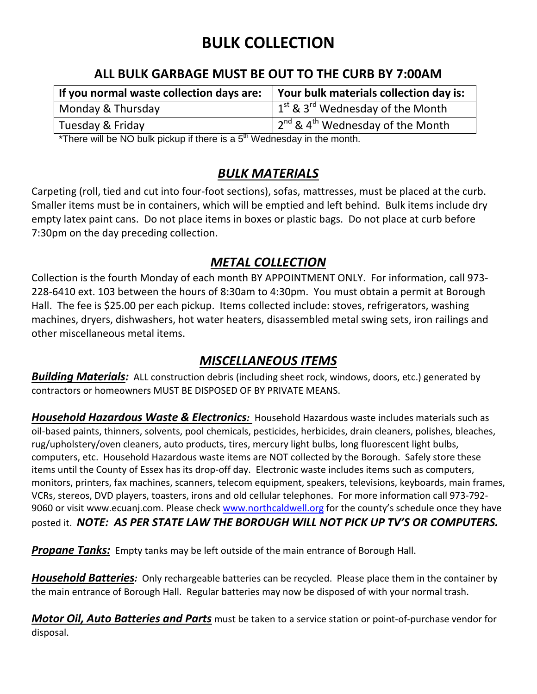# **BULK COLLECTION**

### **ALL BULK GARBAGE MUST BE OUT TO THE CURB BY 7:00AM**

| If you normal waste collection days are: | Your bulk materials collection day is:                                 |
|------------------------------------------|------------------------------------------------------------------------|
| Monday & Thursday                        | $1^{st}$ & 3 <sup>rd</sup> Wednesday of the Month                      |
| Tuesday & Friday                         | $\frac{1}{2}$ 2 <sup>nd</sup> & 4 <sup>th</sup> Wednesday of the Month |

\*There will be NO bulk pickup if there is a  $5<sup>th</sup>$  Wednesday in the month.

### *BULK MATERIALS*

Carpeting (roll, tied and cut into four-foot sections), sofas, mattresses, must be placed at the curb. Smaller items must be in containers, which will be emptied and left behind. Bulk items include dry empty latex paint cans. Do not place items in boxes or plastic bags. Do not place at curb before 7:30pm on the day preceding collection.

### *METAL COLLECTION*

Collection is the fourth Monday of each month BY APPOINTMENT ONLY. For information, call 973- 228-6410 ext. 103 between the hours of 8:30am to 4:30pm. You must obtain a permit at Borough Hall. The fee is \$25.00 per each pickup. Items collected include: stoves, refrigerators, washing machines, dryers, dishwashers, hot water heaters, disassembled metal swing sets, iron railings and other miscellaneous metal items.

### *MISCELLANEOUS ITEMS*

*Building Materials:* ALL construction debris (including sheet rock, windows, doors, etc.) generated by contractors or homeowners MUST BE DISPOSED OF BY PRIVATE MEANS.

*Household Hazardous Waste & Electronics:* Household Hazardous waste includes materials such as oil-based paints, thinners, solvents, pool chemicals, pesticides, herbicides, drain cleaners, polishes, bleaches, rug/upholstery/oven cleaners, auto products, tires, mercury light bulbs, long fluorescent light bulbs, computers, etc. Household Hazardous waste items are NOT collected by the Borough. Safely store these items until the County of Essex has its drop-off day. Electronic waste includes items such as computers, monitors, printers, fax machines, scanners, telecom equipment, speakers, televisions, keyboards, main frames, VCRs, stereos, DVD players, toasters, irons and old cellular telephones. For more information call 973-792 9060 or visit www.ecuanj.com. Please check [www.northcaldwell.org](http://www.northcaldwell.org/) for the county's schedule once they have posted it. *NOTE: AS PER STATE LAW THE BOROUGH WILL NOT PICK UP TV'S OR COMPUTERS.*

**Propane Tanks:** Empty tanks may be left outside of the main entrance of Borough Hall.

*Household Batteries:* Only rechargeable batteries can be recycled. Please place them in the container by the main entrance of Borough Hall. Regular batteries may now be disposed of with your normal trash.

*Motor Oil, Auto Batteries and Parts* must be taken to a service station or point-of-purchase vendor for disposal.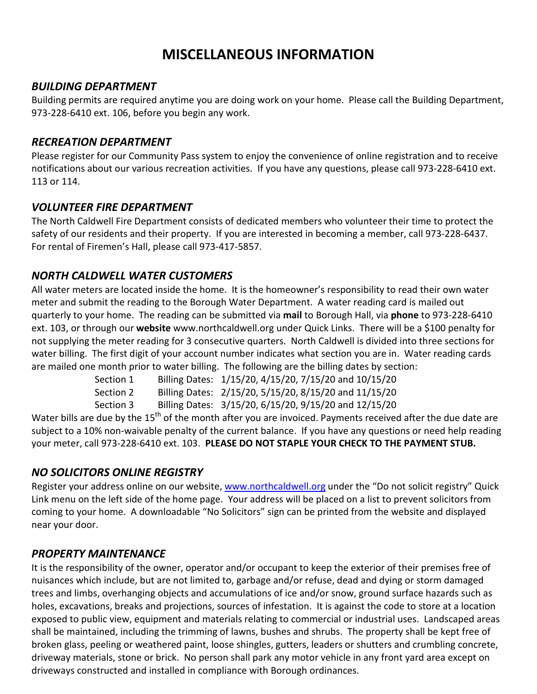## **MISCELLANEOUS INFORMATION**

#### *BUILDING DEPARTMENT*

Building permits are required anytime you are doing work on your home. Please call the Building Department, 973-228-6410 ext. 106, before you begin any work.

#### *RECREATION DEPARTMENT*

Please register for our Community Pass system to enjoy the convenience of online registration and to receive notifications about our various recreation activities. If you have any questions, please call 973-228-6410 ext. 113 or 114.

#### *VOLUNTEER FIRE DEPARTMENT*

The North Caldwell Fire Department consists of dedicated members who volunteer their time to protect the safety of our residents and their property. If you are interested in becoming a member, call 973-228-6437. For rental of Firemen's Hall, please call 973-417-5857.

### *NORTH CALDWELL WATER CUSTOMERS*

All water meters are located inside the home. It is the homeowner's responsibility to read their own water meter and submit the reading to the Borough Water Department. A water reading card is mailed out quarterly to your home. The reading can be submitted via **mail** to Borough Hall, via **phone** to 973-228-6410 ext. 103, or through our **website** www.northcaldwell.org under Quick Links. There will be a \$100 penalty for not supplying the meter reading for 3 consecutive quarters. North Caldwell is divided into three sections for water billing. The first digit of your account number indicates what section you are in. Water reading cards are mailed one month prior to water billing. The following are the billing dates by section:

| Section 1 | Billing Dates: 1/15/20, 4/15/20, 7/15/20 and 10/15/20 |
|-----------|-------------------------------------------------------|
| Section 2 | Billing Dates: 2/15/20, 5/15/20, 8/15/20 and 11/15/20 |
| Section 3 | Billing Dates: 3/15/20, 6/15/20, 9/15/20 and 12/15/20 |

Water bills are due by the 15<sup>th</sup> of the month after you are invoiced. Payments received after the due date are subject to a 10% non-waivable penalty of the current balance. If you have any questions or need help reading your meter, call 973-228-6410 ext. 103. **PLEASE DO NOT STAPLE YOUR CHECK TO THE PAYMENT STUB.**

### *NO SOLICITORS ONLINE REGISTRY*

Register your address online on our website, [www.northcaldwell.org](http://www.northcaldwell.org/) under the "Do not solicit registry" Quick Link menu on the left side of the home page. Your address will be placed on a list to prevent solicitors from coming to your home. A downloadable "No Solicitors" sign can be printed from the website and displayed near your door.

#### *PROPERTY MAINTENANCE*

It is the responsibility of the owner, operator and/or occupant to keep the exterior of their premises free of nuisances which include, but are not limited to, garbage and/or refuse, dead and dying or storm damaged trees and limbs, overhanging objects and accumulations of ice and/or snow, ground surface hazards such as holes, excavations, breaks and projections, sources of infestation. It is against the code to store at a location exposed to public view, equipment and materials relating to commercial or industrial uses. Landscaped areas shall be maintained, including the trimming of lawns, bushes and shrubs. The property shall be kept free of broken glass, peeling or weathered paint, loose shingles, gutters, leaders or shutters and crumbling concrete, driveway materials, stone or brick. No person shall park any motor vehicle in any front yard area except on driveways constructed and installed in compliance with Borough ordinances.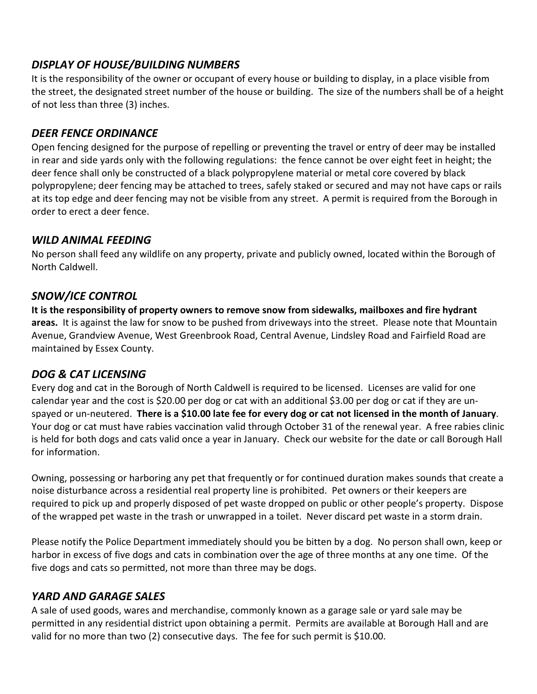### *DISPLAY OF HOUSE/BUILDING NUMBERS*

It is the responsibility of the owner or occupant of every house or building to display, in a place visible from the street, the designated street number of the house or building. The size of the numbers shall be of a height of not less than three (3) inches.

### *DEER FENCE ORDINANCE*

Open fencing designed for the purpose of repelling or preventing the travel or entry of deer may be installed in rear and side yards only with the following regulations: the fence cannot be over eight feet in height; the deer fence shall only be constructed of a black polypropylene material or metal core covered by black polypropylene; deer fencing may be attached to trees, safely staked or secured and may not have caps or rails at its top edge and deer fencing may not be visible from any street. A permit is required from the Borough in order to erect a deer fence.

#### *WILD ANIMAL FEEDING*

No person shall feed any wildlife on any property, private and publicly owned, located within the Borough of North Caldwell.

### *SNOW/ICE CONTROL*

**It is the responsibility of property owners to remove snow from sidewalks, mailboxes and fire hydrant areas.** It is against the law for snow to be pushed from driveways into the street. Please note that Mountain Avenue, Grandview Avenue, West Greenbrook Road, Central Avenue, Lindsley Road and Fairfield Road are maintained by Essex County.

### *DOG & CAT LICENSING*

Every dog and cat in the Borough of North Caldwell is required to be licensed. Licenses are valid for one calendar year and the cost is \$20.00 per dog or cat with an additional \$3.00 per dog or cat if they are unspayed or un-neutered. **There is a \$10.00 late fee for every dog or cat not licensed in the month of January**. Your dog or cat must have rabies vaccination valid through October 31 of the renewal year. A free rabies clinic is held for both dogs and cats valid once a year in January. Check our website for the date or call Borough Hall for information.

Owning, possessing or harboring any pet that frequently or for continued duration makes sounds that create a noise disturbance across a residential real property line is prohibited. Pet owners or their keepers are required to pick up and properly disposed of pet waste dropped on public or other people's property. Dispose of the wrapped pet waste in the trash or unwrapped in a toilet. Never discard pet waste in a storm drain.

Please notify the Police Department immediately should you be bitten by a dog. No person shall own, keep or harbor in excess of five dogs and cats in combination over the age of three months at any one time. Of the five dogs and cats so permitted, not more than three may be dogs.

### *YARD AND GARAGE SALES*

A sale of used goods, wares and merchandise, commonly known as a garage sale or yard sale may be permitted in any residential district upon obtaining a permit. Permits are available at Borough Hall and are valid for no more than two (2) consecutive days. The fee for such permit is \$10.00.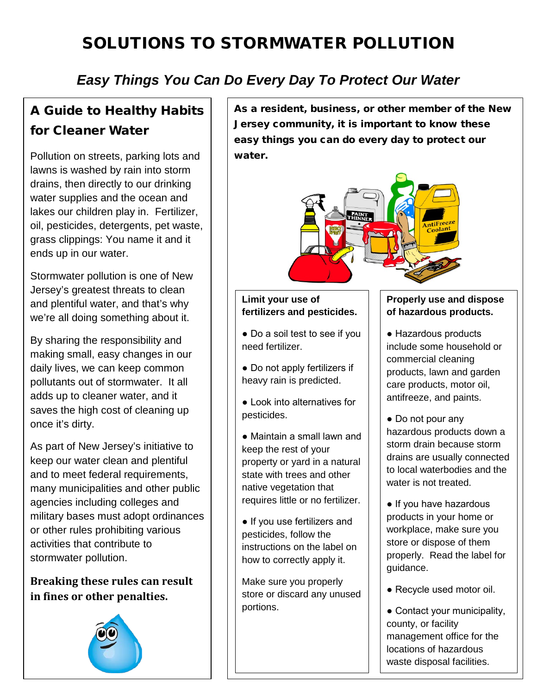# SOLUTIONS TO STORMWATER POLLUTION

# *Easy Things You Can Do Every Day To Protect Our Water*

# A Guide to Healthy Habits for Cleaner Water

Pollution on streets, parking lots and lawns is washed by rain into storm drains, then directly to our drinking water supplies and the ocean and lakes our children play in. Fertilizer, oil, pesticides, detergents, pet waste, grass clippings: You name it and it ends up in our water.

Stormwater pollution is one of New Jersey's greatest threats to clean and plentiful water, and that's why we're all doing something about it.

By sharing the responsibility and making small, easy changes in our daily lives, we can keep common pollutants out of stormwater. It all adds up to cleaner water, and it saves the high cost of cleaning up once it's dirty.

As part of New Jersey's initiative to keep our water clean and plentiful and to meet federal requirements, many municipalities and other public agencies including colleges and military bases must adopt ordinances or other rules prohibiting various activities that contribute to stormwater pollution.

**Breaking these rules can result in fines or other penalties.** 



As a resident, business, or other member of the New Jersey community, it is important to know these easy things you can do every day to protect our water.



#### **Limit your use of fertilizers and pesticides.**

● Do a soil test to see if you need fertilizer.

● Do not apply fertilizers if heavy rain is predicted.

● Look into alternatives for pesticides.

● Maintain a small lawn and keep the rest of your property or yard in a natural state with trees and other native vegetation that requires little or no fertilizer.

● If you use fertilizers and pesticides, follow the instructions on the label on how to correctly apply it.

Make sure you properly store or discard any unused portions.

#### **Properly use and dispose of hazardous products.**

● Hazardous products include some household or commercial cleaning products, lawn and garden care products, motor oil, antifreeze, and paints.

● Do not pour any hazardous products down a storm drain because storm drains are usually connected to local waterbodies and the water is not treated.

• If you have hazardous products in your home or workplace, make sure you store or dispose of them properly. Read the label for guidance.

● Recycle used motor oil.

● Contact your municipality, county, or facility management office for the locations of hazardous waste disposal facilities.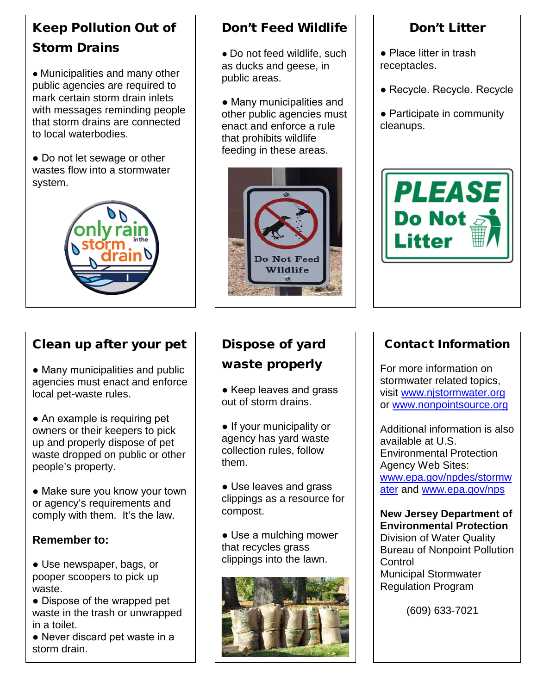# Keep Pollution Out of Storm Drains

● Municipalities and many other public agencies are required to mark certain storm drain inlets with messages reminding people that storm drains are connected to local waterbodies.

• Do not let sewage or other wastes flow into a stormwater system.



### Clean up after your pet

• Many municipalities and public agencies must enact and enforce local pet-waste rules.

• An example is requiring pet owners or their keepers to pick up and properly dispose of pet waste dropped on public or other people's property.

• Make sure you know your town or agency's requirements and comply with them. It's the law.

### **Remember to:**

**●** Use newspaper, bags, or pooper scoopers to pick up waste.

• Dispose of the wrapped pet waste in the trash or unwrapped in a toilet.

● Never discard pet waste in a storm drain.

### Don't Feed Wildlife

• Do not feed wildlife, such as ducks and geese, in public areas.

• Many municipalities and other public agencies must enact and enforce a rule that prohibits wildlife feeding in these areas.



### Don't Litter

- Place litter in trash receptacles.
- Recycle. Recycle. Recycle
- Participate in community cleanups.



# Dispose of yard waste properly

• Keep leaves and grass out of storm drains.

● If your municipality or agency has yard waste collection rules, follow them.

● Use leaves and grass clippings as a resource for compost.

• Use a mulching mower that recycles grass clippings into the lawn.



### Contact Information

For more information on stormwater related topics, visit [www.njstormwater.org](http://www.njstormwater.org/) or [www.nonpointsource.org](http://www.nonpointsource.org/)

Additional information is also available at U.S. Environmental Protection Agency Web Sites: [www.epa.gov/npdes/stormw](http://www.epa.gov/npdes/stormwater) [ater](http://www.epa.gov/npdes/stormwater) and [www.epa.gov/nps](http://www.epa.gov/nps)

### **New Jersey Department of Environmental Protection**

Division of Water Quality Bureau of Nonpoint Pollution **Control** Municipal Stormwater Regulation Program

(609) 633-7021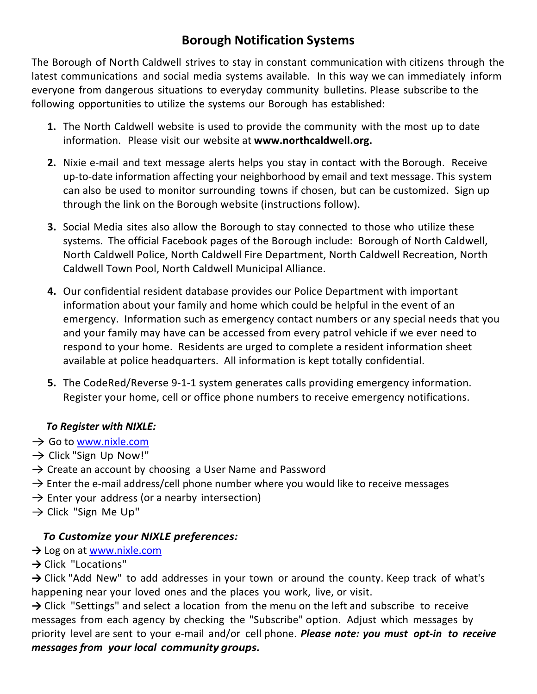### **Borough Notification Systems**

The Borough of North Caldwell strives to stay in constant communication with citizens through the latest communications and social media systems available. In this way we can immediately inform everyone from dangerous situations to everyday community bulletins. Please subscribe to the following opportunities to utilize the systems our Borough has established:

- **1.** The North Caldwell website is used to provide the community with the most up to date information. Please visit our website at **www.northcaldwell.org.**
- **2.** Nixie e-mail and text message alerts helps you stay in contact with the Borough. Receive up-to-date information affecting your neighborhood by email and text message. This system can also be used to monitor surrounding towns if chosen, but can be customized. Sign up through the link on the Borough website (instructions follow).
- **3.** Social Media sites also allow the Borough to stay connected to those who utilize these systems. The official Facebook pages of the Borough include: Borough of North Caldwell, North Caldwell Police, North Caldwell Fire Department, North Caldwell Recreation, North Caldwell Town Pool, North Caldwell Municipal Alliance.
- **4.** Our confidential resident database provides our Police Department with important information about your family and home which could be helpful in the event of an emergency. Information such as emergency contact numbers or any special needs that you and your family may have can be accessed from every patrol vehicle if we ever need to respond to your home. Residents are urged to complete a resident information sheet available at police headquarters. All information is kept totally confidential.
- **5.** The CodeRed/Reverse 9-1-1 system generates calls providing emergency information. Register your home, cell or office phone numbers to receive emergency notifications.

### *To Register with NIXLE:*

- $\rightarrow$  Go to [www.nixle.com](http://www.nixle.com/)
- $\rightarrow$  Click "Sign Up Now!"
- $\rightarrow$  Create an account by choosing a User Name and Password
- $\rightarrow$  Enter the e-mail address/cell phone number where you would like to receive messages
- $\rightarrow$  Enter your address (or a nearby intersection)
- $\rightarrow$  Click "Sign Me Up"

### *To Customize your NIXLE preferences:*

- **→** Log on at [www.nixle.com](http://www.nixle.com/)
- **→** Click "Locations"

→ Click "Add New" to add addresses in your town or around the county. Keep track of what's happening near your loved ones and the places you work, live, or visit.

→ Click "Settings" and select a location from the menu on the left and subscribe to receive messages from each agency by checking the "Subscribe" option. Adjust which messages by priority level are sent to your e-mail and/or cell phone. *Please note: you must opt-in to receive messages from your local community groups.*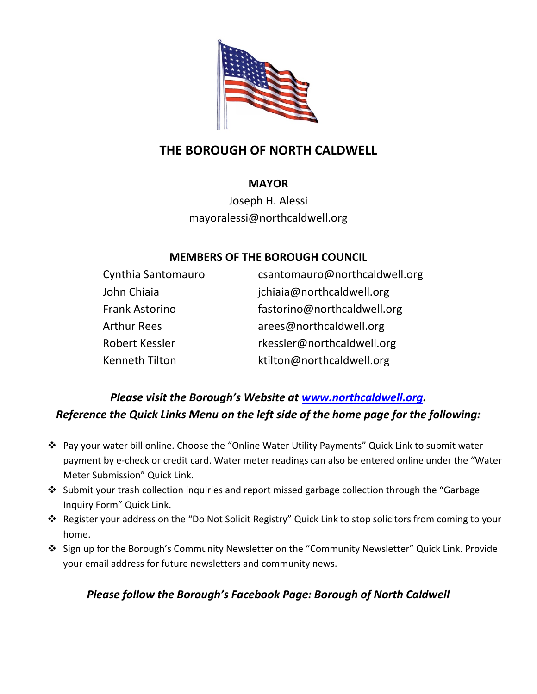

## **THE BOROUGH OF NORTH CALDWELL**

### **MAYOR**

Joseph H. Alessi mayoralessi@northcaldwell.org

### **MEMBERS OF THE BOROUGH COUNCIL**

| Cynthia Santomauro    | csantomauro@northcaldwell.org |
|-----------------------|-------------------------------|
| John Chiaia           | jchiaia@northcaldwell.org     |
| <b>Frank Astorino</b> | fastorino@northcaldwell.org   |
| <b>Arthur Rees</b>    | arees@northcaldwell.org       |
| Robert Kessler        | rkessler@northcaldwell.org    |
| Kenneth Tilton        | ktilton@northcaldwell.org     |

### *Please visit the Borough's Website at [www.northcaldwell.org.](http://www.northcaldwell.org/) Reference the Quick Links Menu on the left side of the home page for the following:*

- Pay your water bill online. Choose the "Online Water Utility Payments" Quick Link to submit water payment by e-check or credit card. Water meter readings can also be entered online under the "Water Meter Submission" Quick Link.
- Submit your trash collection inquiries and report missed garbage collection through the "Garbage Inquiry Form" Quick Link.
- Register your address on the "Do Not Solicit Registry" Quick Link to stop solicitors from coming to your home.
- Sign up for the Borough's Community Newsletter on the "Community Newsletter" Quick Link. Provide your email address for future newsletters and community news.

### *Please follow the Borough's Facebook Page: Borough of North Caldwell*